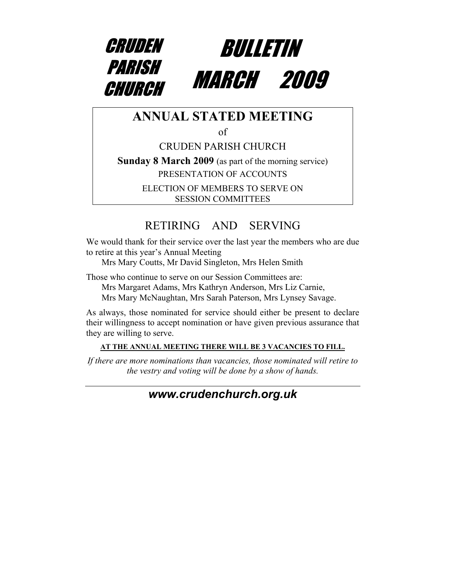



### **ANNUAL STATED MEETING**

of

CRUDEN PARISH CHURCH **Sunday 8 March 2009** (as part of the morning service)

PRESENTATION OF ACCOUNTS

ELECTION OF MEMBERS TO SERVE ON SESSION COMMITTEES

## RETIRING AND SERVING

We would thank for their service over the last year the members who are due to retire at this year's Annual Meeting

Mrs Mary Coutts, Mr David Singleton, Mrs Helen Smith

Those who continue to serve on our Session Committees are:

Mrs Margaret Adams, Mrs Kathryn Anderson, Mrs Liz Carnie,

Mrs Mary McNaughtan, Mrs Sarah Paterson, Mrs Lynsey Savage.

As always, those nominated for service should either be present to declare their willingness to accept nomination or have given previous assurance that they are willing to serve.

#### **AT THE ANNUAL MEETING THERE WILL BE 3 VACANCIES TO FILL.**

*If there are more nominations than vacancies, those nominated will retire to the vestry and voting will be done by a show of hands.* 

### *[www.crudenc](http://www.cruden/)hurch.org.uk*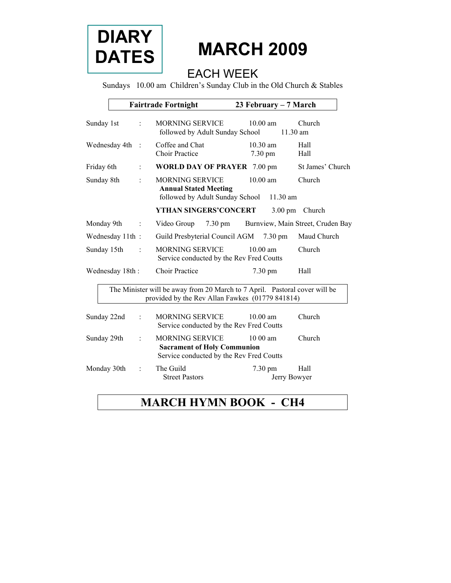

# **MARCH 2009**

### EACH WEEK

Sundays 10.00 am Children's Sunday Club in the Old Church & Stables

|                                                                                                                               | <b>Fairtrade Fortnight</b> |         | 23 February – 7 March                                                                                    |                                   |                                   |  |  |
|-------------------------------------------------------------------------------------------------------------------------------|----------------------------|---------|----------------------------------------------------------------------------------------------------------|-----------------------------------|-----------------------------------|--|--|
| Sunday 1st                                                                                                                    |                            |         | <b>MORNING SERVICE</b><br>followed by Adult Sunday School                                                | $10.00$ am<br>$11.30$ am          | Church                            |  |  |
| Wednesday 4th                                                                                                                 |                            |         | Coffee and Chat<br><b>Choir Practice</b>                                                                 | 10.30 am<br>7.30 pm               | Hall<br>Hall                      |  |  |
| Friday 6th                                                                                                                    |                            |         | <b>WORLD DAY OF PRAYER 7.00 pm</b>                                                                       |                                   | St James' Church                  |  |  |
| Sunday 8th                                                                                                                    |                            |         | <b>MORNING SERVICE</b><br><b>Annual Stated Meeting</b><br>followed by Adult Sunday School                | $10.00$ am<br>$11.30$ am          | Church                            |  |  |
|                                                                                                                               |                            |         | YTHAN SINGERS'CONCERT                                                                                    | $3.00 \text{ pm}$                 | Church                            |  |  |
| Monday 9th                                                                                                                    |                            | $\cdot$ | Video Group<br>$7.30 \text{ pm}$                                                                         |                                   | Burnview, Main Street, Cruden Bay |  |  |
|                                                                                                                               | Wednesday 11th:            |         | Guild Presbyterial Council AGM                                                                           | $7.30 \text{ pm}$                 | Maud Church                       |  |  |
| Sunday 15th                                                                                                                   |                            |         | <b>MORNING SERVICE</b><br>Service conducted by the Rev Fred Coutts                                       | $10.00$ am                        | Church                            |  |  |
|                                                                                                                               | Wednesday 18th:            |         | <b>Choir Practice</b>                                                                                    | 7.30 pm                           | Hall                              |  |  |
| The Minister will be away from 20 March to 7 April. Pastoral cover will be<br>provided by the Rev Allan Fawkes (01779 841814) |                            |         |                                                                                                          |                                   |                                   |  |  |
| Sunday 22nd                                                                                                                   |                            |         | <b>MORNING SERVICE</b><br>Service conducted by the Rev Fred Coutts                                       | $10.00$ am                        | Church                            |  |  |
| Sunday 29th                                                                                                                   |                            |         | <b>MORNING SERVICE</b><br><b>Sacrament of Holy Communion</b><br>Service conducted by the Rev Fred Coutts | $1000$ am                         | Church                            |  |  |
| Monday 30th                                                                                                                   |                            |         | The Guild<br><b>Street Pastors</b>                                                                       | $7.30 \text{ pm}$<br>Jerry Bowyer | Hall                              |  |  |

## **MARCH HYMN BOOK - CH4**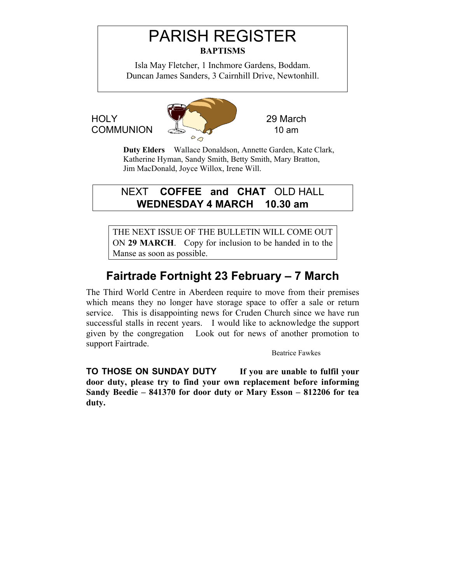# PARISH REGISTER **BAPTISMS**

Isla May Fletcher, 1 Inchmore Gardens, Boddam. Duncan James Sanders, 3 Cairnhill Drive, Newtonhill.



**Duty Elders** Wallace Donaldson, Annette Garden, Kate Clark, Katherine Hyman, Sandy Smith, Betty Smith, Mary Bratton, Jim MacDonald, Joyce Willox, Irene Will.

NEXT **COFFEE and CHAT** OLD HALL **WEDNESDAY 4 MARCH 10.30 am** 

THE NEXT ISSUE OF THE BULLETIN WILL COME OUT ON **29 MARCH**. Copy for inclusion to be handed in to the Manse as soon as possible.

# **Fairtrade Fortnight 23 February – 7 March**

The Third World Centre in Aberdeen require to move from their premises which means they no longer have storage space to offer a sale or return service. This is disappointing news for Cruden Church since we have run successful stalls in recent years. I would like to acknowledge the support given by the congregation Look out for news of another promotion to support Fairtrade.

Beatrice Fawkes

**TO THOSE ON SUNDAY DUTY If you are unable to fulfil your door duty, please try to find your own replacement before informing Sandy Beedie – 841370 for door duty or Mary Esson – 812206 for tea duty.**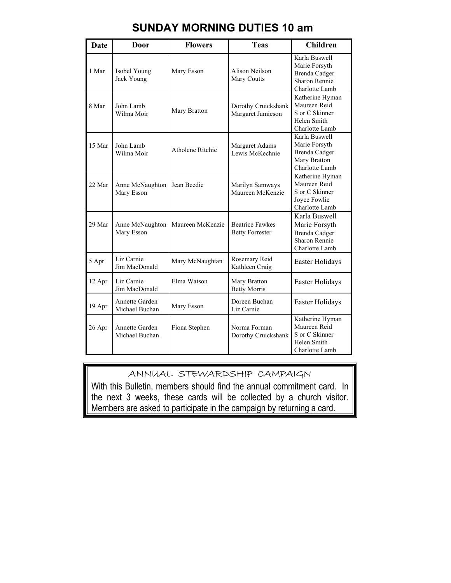| Date   | Door                             | <b>Flowers</b>          | <b>Teas</b>                                      | <b>Children</b>                                                                                  |
|--------|----------------------------------|-------------------------|--------------------------------------------------|--------------------------------------------------------------------------------------------------|
| 1 Mar  | Isobel Young<br>Jack Young       | Mary Esson              | Alison Neilson<br>Mary Coutts                    | Karla Buswell<br>Marie Forsyth<br><b>Brenda</b> Cadger<br><b>Sharon Rennie</b><br>Charlotte Lamb |
| 8 Mar  | John Lamb<br>Wilma Moir          | Mary Bratton            | Dorothy Cruickshank<br>Margaret Jamieson         | Katherine Hyman<br>Maureen Reid<br>S or C Skinner<br>Helen Smith<br>Charlotte Lamb               |
| 15 Mar | John Lamb<br>Wilma Moir          | <b>Atholene Ritchie</b> | Margaret Adams<br>Lewis McKechnie                | Karla Buswell<br>Marie Forsyth<br>Brenda Cadger<br>Mary Bratton<br>Charlotte Lamb                |
| 22 Mar | Anne McNaughton<br>Mary Esson    | Jean Beedie             | Marilyn Samways<br>Maureen McKenzie              | Katherine Hyman<br>Maureen Reid<br>S or C Skinner<br>Joyce Fowlie<br>Charlotte Lamb              |
| 29 Mar | Anne McNaughton<br>Mary Esson    | Maureen McKenzie        | <b>Beatrice Fawkes</b><br><b>Betty Forrester</b> | Karla Buswell<br>Marie Forsyth<br><b>Brenda</b> Cadger<br>Sharon Rennie<br>Charlotte Lamb        |
| 5 Apr  | Liz Carnie<br>Jim MacDonald      | Mary McNaughtan         | Rosemary Reid<br>Kathleen Craig                  | Easter Holidays                                                                                  |
| 12 Apr | Liz Carnie<br>Jim MacDonald      | Elma Watson             | Mary Bratton<br><b>Betty Morris</b>              | Easter Holidays                                                                                  |
| 19 Apr | Annette Garden<br>Michael Buchan | Mary Esson              | Doreen Buchan<br>Liz Carnie                      | Easter Holidays                                                                                  |
| 26 Apr | Annette Garden<br>Michael Buchan | Fiona Stephen           | Norma Forman<br>Dorothy Cruickshank              | Katherine Hyman<br>Maureen Reid<br>S or C Skinner<br>Helen Smith<br>Charlotte Lamb               |

### **SUNDAY MORNING DUTIES 10 am**

#### ANNUAL STEWARDSHIP CAMPAIGN

With this Bulletin, members should find the annual commitment card. In the next 3 weeks, these cards will be collected by a church visitor. Members are asked to participate in the campaign by returning a card.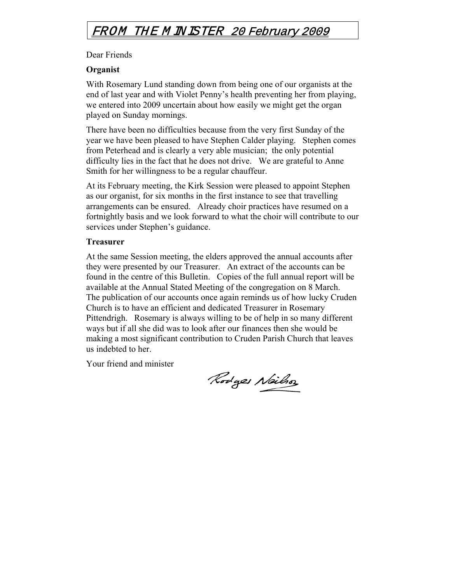### FROM THE M INISTER 20 February 2009

#### Dear Friends

#### **Organist**

With Rosemary Lund standing down from being one of our organists at the end of last year and with Violet Penny's health preventing her from playing, we entered into 2009 uncertain about how easily we might get the organ played on Sunday mornings.

There have been no difficulties because from the very first Sunday of the year we have been pleased to have Stephen Calder playing. Stephen comes from Peterhead and is clearly a very able musician; the only potential difficulty lies in the fact that he does not drive. We are grateful to Anne Smith for her willingness to be a regular chauffeur.

At its February meeting, the Kirk Session were pleased to appoint Stephen as our organist, for six months in the first instance to see that travelling arrangements can be ensured. Already choir practices have resumed on a fortnightly basis and we look forward to what the choir will contribute to our services under Stephen's guidance.

#### **Treasurer**

At the same Session meeting, the elders approved the annual accounts after they were presented by our Treasurer. An extract of the accounts can be found in the centre of this Bulletin. Copies of the full annual report will be available at the Annual Stated Meeting of the congregation on 8 March. The publication of our accounts once again reminds us of how lucky Cruden Church is to have an efficient and dedicated Treasurer in Rosemary Pittendrigh. Rosemary is always willing to be of help in so many different ways but if all she did was to look after our finances then she would be making a most significant contribution to Cruden Parish Church that leaves us indebted to her.

Your friend and minister

Rodges Neilso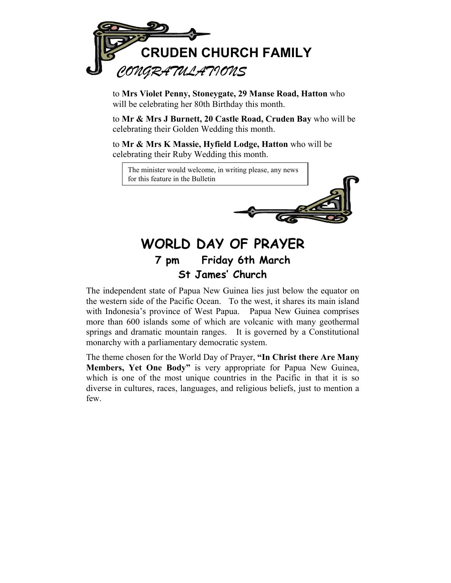

to **Mrs Violet Penny, Stoneygate, 29 Manse Road, Hatton** who will be celebrating her 80th Birthday this month.

to **Mr & Mrs J Burnett, 20 Castle Road, Cruden Bay** who will be celebrating their Golden Wedding this month.

to **Mr & Mrs K Massie, Hyfield Lodge, Hatton** who will be celebrating their Ruby Wedding this month.

The minister would welcome, in writing please, any news for this feature in the Bulletin



## **WORLD DAY OF PRAYER 7 pm Friday 6th March St James' Church**

The independent state of Papua New Guinea lies just below the equator on the western side of the Pacific Ocean. To the west, it shares its main island with Indonesia's province of West Papua. Papua New Guinea comprises more than 600 islands some of which are volcanic with many geothermal springs and dramatic mountain ranges. It is governed by a Constitutional monarchy with a parliamentary democratic system.

The theme chosen for the World Day of Prayer, **"In Christ there Are Many Members, Yet One Body"** is very appropriate for Papua New Guinea, which is one of the most unique countries in the Pacific in that it is so diverse in cultures, races, languages, and religious beliefs, just to mention a few.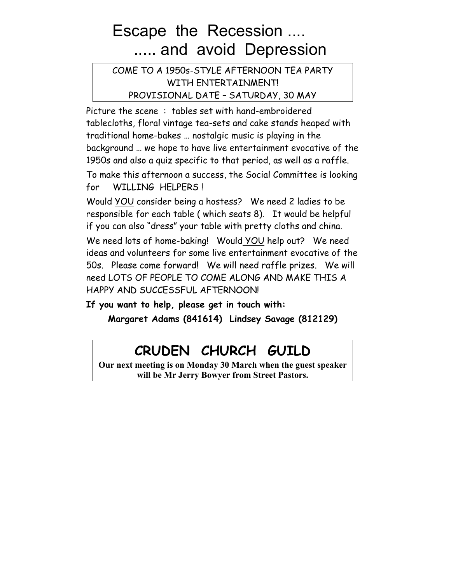# Escape the Recession .... ..... and avoid Depression

COME TO A 1950s-STYLE AFTERNOON TEA PARTY WITH ENTERTAINMENT!

PROVISIONAL DATE – SATURDAY, 30 MAY

Picture the scene : tables set with hand-embroidered tablecloths, floral vintage tea-sets and cake stands heaped with traditional home-bakes … nostalgic music is playing in the background … we hope to have live entertainment evocative of the 1950s and also a quiz specific to that period, as well as a raffle.

To make this afternoon a success, the Social Committee is looking for WILLING HELPERS !

Would YOU consider being a hostess? We need 2 ladies to be responsible for each table ( which seats 8). It would be helpful if you can also "dress" your table with pretty cloths and china.

We need lots of home-baking! Would YOU help out? We need ideas and volunteers for some live entertainment evocative of the 50s. Please come forward! We will need raffle prizes. We will need LOTS OF PEOPLE TO COME ALONG AND MAKE THIS A HAPPY AND SUCCESSFUL AFTERNOON!

**If you want to help, please get in touch with:** 

**Margaret Adams (841614) Lindsey Savage (812129)** 

# **CRUDEN CHURCH GUILD**

**Our next meeting is on Monday 30 March when the guest speaker will be Mr Jerry Bowyer from Street Pastors.**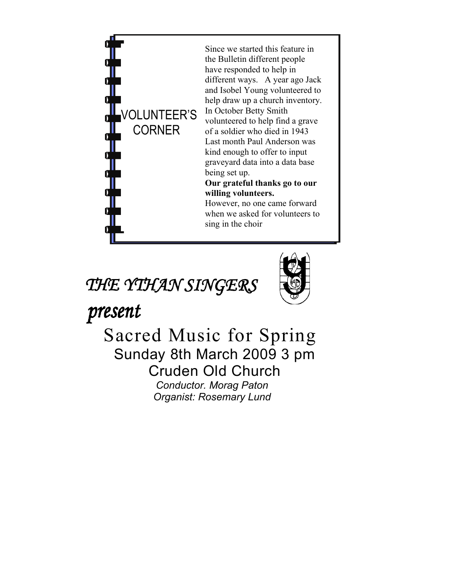

Since we started this feature in the Bulletin different people have responded to help in different ways. A year ago Jack and Isobel Young volunteered to help draw up a church inventory. In October Betty Smith volunteered to help find a grave of a soldier who died in 1943 Last month Paul Anderson was kind enough to offer to input graveyard data into a data base being set up. **Our grateful thanks go to our willing volunteers.** 

However, no one came forward when we asked for volunteers to sing in the choir

# THE YTHAN SINGERS



present

 Sacred Music for Spring Sunday 8th March 2009 3 pm Cruden Old Church *Conductor. Morag Paton Organist: Rosemary Lund*